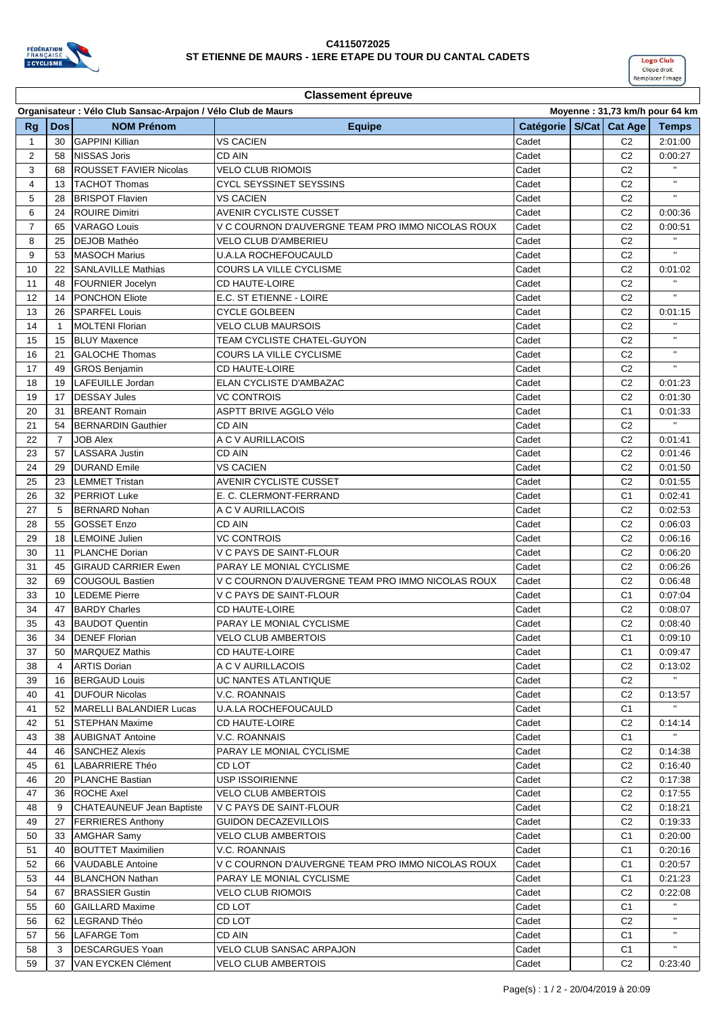

Г



| <b>Classement épreuve</b> |                                                                                                |                                                       |                                                        |                             |  |                |                    |
|---------------------------|------------------------------------------------------------------------------------------------|-------------------------------------------------------|--------------------------------------------------------|-----------------------------|--|----------------|--------------------|
|                           | Organisateur : Vélo Club Sansac-Arpajon / Vélo Club de Maurs<br>Moyenne: 31,73 km/h pour 64 km |                                                       |                                                        |                             |  |                |                    |
| <b>Rg</b>                 | <b>Dos</b>                                                                                     | <b>NOM Prénom</b>                                     | <b>Equipe</b>                                          | Catégorie   S/Cat   Cat Age |  |                | <b>Temps</b>       |
| 1                         | 30                                                                                             | <b>GAPPINI Killian</b>                                | <b>VS CACIEN</b>                                       | Cadet                       |  | C <sub>2</sub> | 2:01:00            |
| $\overline{2}$            | 58                                                                                             | <b>NISSAS Joris</b>                                   | CD AIN                                                 | Cadet                       |  | C <sub>2</sub> | 0:00:27            |
| 3                         | 68                                                                                             | <b>ROUSSET FAVIER Nicolas</b>                         | <b>VELO CLUB RIOMOIS</b>                               | Cadet                       |  | C <sub>2</sub> | $\mathbf{H}$       |
| 4                         | 13                                                                                             | <b>TACHOT Thomas</b>                                  | CYCL SEYSSINET SEYSSINS                                | Cadet                       |  | C <sub>2</sub> | $\mathbf{H}$       |
| 5                         | 28                                                                                             | <b>BRISPOT Flavien</b>                                | VS CACIEN                                              | Cadet                       |  | C <sub>2</sub> |                    |
| 6                         | 24                                                                                             | <b>ROUIRE Dimitri</b>                                 | AVENIR CYCLISTE CUSSET                                 | Cadet                       |  | C <sub>2</sub> | 0:00:36            |
| $\overline{7}$            | 65                                                                                             | <b>VARAGO Louis</b>                                   | V C COURNON D'AUVERGNE TEAM PRO IMMO NICOLAS ROUX      | Cadet                       |  | C <sub>2</sub> | 0:00:51            |
| 8                         | 25                                                                                             | DEJOB Mathéo                                          | VELO CLUB D'AMBERIEU                                   | Cadet                       |  | C <sub>2</sub> |                    |
| 9                         | 53                                                                                             | <b>MASOCH Marius</b>                                  | <b>U.A.LA ROCHEFOUCAULD</b>                            | Cadet                       |  | C <sub>2</sub> |                    |
| 10                        | 22                                                                                             | <b>SANLAVILLE Mathias</b>                             | COURS LA VILLE CYCLISME                                | Cadet                       |  | C <sub>2</sub> | 0:01:02            |
| 11                        | 48                                                                                             | <b>FOURNIER Jocelyn</b>                               | CD HAUTE-LOIRE                                         | Cadet                       |  | C <sub>2</sub> |                    |
|                           |                                                                                                |                                                       |                                                        |                             |  | C <sub>2</sub> | $\mathbf{H}$       |
| 12<br>13                  | 14                                                                                             | <b>PONCHON Eliote</b>                                 | E.C. ST ETIENNE - LOIRE                                | Cadet<br>Cadet              |  | C <sub>2</sub> |                    |
|                           | 26                                                                                             | <b>SPARFEL Louis</b>                                  | CYCLE GOLBEEN                                          |                             |  |                | 0:01:15            |
| 14                        | $\mathbf{1}$                                                                                   | <b>MOLTENI Florian</b>                                | <b>VELO CLUB MAURSOIS</b>                              | Cadet                       |  | C <sub>2</sub> | $\mathbf{H}$       |
| 15                        | 15                                                                                             | <b>BLUY Maxence</b>                                   | TEAM CYCLISTE CHATEL-GUYON                             | Cadet                       |  | C <sub>2</sub> | $\mathbf{H}$       |
| 16                        | 21                                                                                             | <b>GALOCHE Thomas</b>                                 | <b>COURS LA VILLE CYCLISME</b>                         | Cadet                       |  | C <sub>2</sub> | $\mathbf{H}$       |
| 17                        | 49                                                                                             | <b>GROS Benjamin</b>                                  | <b>CD HAUTE-LOIRE</b>                                  | Cadet                       |  | C <sub>2</sub> |                    |
| 18                        | 19                                                                                             | LAFEUILLE Jordan                                      | <b>ELAN CYCLISTE D'AMBAZAC</b>                         | Cadet                       |  | C <sub>2</sub> | 0:01:23            |
| 19                        | 17                                                                                             | <b>DESSAY Jules</b>                                   | <b>VC CONTROIS</b>                                     | Cadet                       |  | C <sub>2</sub> | 0:01:30            |
| 20                        | 31                                                                                             | <b>BREANT Romain</b>                                  | <b>ASPTT BRIVE AGGLO Vélo</b>                          | Cadet                       |  | C <sub>1</sub> | 0:01:33            |
| 21                        | 54                                                                                             | <b>BERNARDIN Gauthier</b>                             | CD AIN                                                 | Cadet                       |  | C <sub>2</sub> |                    |
| 22                        | $\overline{7}$                                                                                 | <b>JOB Alex</b>                                       | A C V AURILLACOIS                                      | Cadet                       |  | C <sub>2</sub> | 0:01:41            |
| 23                        | 57                                                                                             | <b>LASSARA Justin</b>                                 | CD AIN                                                 | Cadet                       |  | C <sub>2</sub> | 0:01:46            |
| 24                        | 29                                                                                             | <b>DURAND Emile</b>                                   | <b>VS CACIEN</b>                                       | Cadet                       |  | C <sub>2</sub> | 0:01:50            |
| 25                        | 23                                                                                             | <b>LEMMET Tristan</b>                                 | AVENIR CYCLISTE CUSSET                                 | Cadet                       |  | C <sub>2</sub> | 0:01:55            |
| 26                        | 32                                                                                             | <b>PERRIOT Luke</b>                                   | E. C. CLERMONT-FERRAND                                 | Cadet                       |  | C <sub>1</sub> | 0:02:41            |
| 27                        | 5                                                                                              | <b>BERNARD Nohan</b>                                  | A C V AURILLACOIS                                      | Cadet                       |  | C <sub>2</sub> | 0:02:53            |
| 28                        | 55                                                                                             | <b>GOSSET Enzo</b>                                    | CD AIN                                                 | Cadet                       |  | C <sub>2</sub> | 0:06:03            |
| 29                        | 18                                                                                             | <b>LEMOINE Julien</b>                                 | <b>VC CONTROIS</b>                                     | Cadet                       |  | C <sub>2</sub> | 0:06:16            |
| 30                        | 11                                                                                             | <b>PLANCHE Dorian</b>                                 | V C PAYS DE SAINT-FLOUR                                | Cadet                       |  | C <sub>2</sub> | 0:06:20            |
| 31                        | 45                                                                                             | <b>GIRAUD CARRIER Ewen</b>                            | PARAY LE MONIAL CYCLISME                               | Cadet                       |  | C <sub>2</sub> | 0:06:26            |
| 32                        | 69                                                                                             | <b>COUGOUL Bastien</b>                                | V C COURNON D'AUVERGNE TEAM PRO IMMO NICOLAS ROUX      | Cadet                       |  | C <sub>2</sub> | 0:06:48            |
| 33                        | 10                                                                                             | <b>LEDEME Pierre</b>                                  | V C PAYS DE SAINT-FLOUR                                | Cadet                       |  | C <sub>1</sub> | 0:07:04            |
| 34                        | 47                                                                                             | <b>BARDY Charles</b>                                  | CD HAUTE-LOIRE                                         | Cadet                       |  | C <sub>2</sub> | 0:08:07            |
| 35                        | 43                                                                                             | <b>BAUDOT Quentin</b>                                 | PARAY LE MONIAL CYCLISME                               | Cadet                       |  | C <sub>2</sub> | 0:08:40            |
| 36                        | 34                                                                                             | <b>DENEF Florian</b>                                  | <b>VELO CLUB AMBERTOIS</b>                             | Cadet                       |  | C1             | 0:09:10            |
| 37                        | 50                                                                                             | <b>MARQUEZ Mathis</b>                                 | <b>CD HAUTE-LOIRE</b>                                  | Cadet                       |  | C <sub>1</sub> | 0:09:47            |
| 38                        | 4                                                                                              | <b>ARTIS Dorian</b>                                   | A C V AURILLACOIS                                      | Cadet                       |  | C <sub>2</sub> | 0:13:02            |
| 39                        | 16                                                                                             | <b>BERGAUD Louis</b>                                  | UC NANTES ATLANTIQUE                                   | Cadet                       |  | C <sub>2</sub> |                    |
| 40                        | 41                                                                                             | <b>DUFOUR Nicolas</b>                                 | V.C. ROANNAIS                                          | Cadet                       |  | C <sub>2</sub> | 0:13:57            |
| 41                        | 52                                                                                             | MARELLI BALANDIER Lucas                               | <b>U.A.LA ROCHEFOUCAULD</b>                            | Cadet                       |  | C <sub>1</sub> |                    |
| 42                        | 51                                                                                             | STEPHAN Maxime                                        | <b>CD HAUTE-LOIRE</b>                                  | Cadet                       |  | C <sub>2</sub> | 0:14:14            |
| 43                        | 38                                                                                             | <b>AUBIGNAT Antoine</b>                               | V.C. ROANNAIS                                          | Cadet                       |  | C <sub>1</sub> |                    |
| 44                        | 46                                                                                             | <b>SANCHEZ Alexis</b>                                 | PARAY LE MONIAL CYCLISME                               | Cadet                       |  | C <sub>2</sub> | 0:14:38            |
| 45                        | 61                                                                                             | <b>LABARRIERE Théo</b>                                | CD LOT                                                 | Cadet                       |  | C <sub>2</sub> | 0:16:40            |
| 46                        | 20                                                                                             | PLANCHE Bastian                                       | <b>USP ISSOIRIENNE</b>                                 | Cadet                       |  | C <sub>2</sub> | 0:17:38            |
|                           |                                                                                                |                                                       |                                                        |                             |  |                |                    |
| 47                        | 36                                                                                             | <b>ROCHE Axel</b>                                     | VELO CLUB AMBERTOIS                                    | Cadet                       |  | C <sub>2</sub> | 0:17:55            |
| 48                        | 9                                                                                              | CHATEAUNEUF Jean Baptiste<br><b>FERRIERES Anthony</b> | V C PAYS DE SAINT-FLOUR<br><b>GUIDON DECAZEVILLOIS</b> | Cadet<br>Cadet              |  | C <sub>2</sub> | 0:18:21<br>0:19:33 |
| 49                        | 27                                                                                             |                                                       |                                                        |                             |  | C <sub>2</sub> |                    |
| 50                        | 33                                                                                             | <b>AMGHAR Samy</b>                                    | VELO CLUB AMBERTOIS                                    | Cadet                       |  | C <sub>1</sub> | 0:20:00            |
| 51                        | 40                                                                                             | <b>BOUTTET Maximilien</b>                             | V.C. ROANNAIS                                          | Cadet                       |  | C1             | 0:20:16            |
| 52                        | 66                                                                                             | <b>VAUDABLE Antoine</b>                               | V C COURNON D'AUVERGNE TEAM PRO IMMO NICOLAS ROUX      | Cadet                       |  | C1             | 0:20:57            |
| 53                        | 44                                                                                             | <b>BLANCHON Nathan</b>                                | PARAY LE MONIAL CYCLISME                               | Cadet                       |  | C1             | 0:21:23            |
| 54                        | 67                                                                                             | <b>BRASSIER Gustin</b>                                | VELO CLUB RIOMOIS                                      | Cadet                       |  | C <sub>2</sub> | 0:22:08            |
| 55                        | 60                                                                                             | <b>GAILLARD Maxime</b>                                | CD LOT                                                 | Cadet                       |  | C1             |                    |
| 56                        | 62                                                                                             | LEGRAND Théo                                          | CD LOT                                                 | Cadet                       |  | C <sub>2</sub> |                    |
| 57                        | 56                                                                                             | <b>LAFARGE Tom</b>                                    | CD AIN                                                 | Cadet                       |  | C <sub>1</sub> |                    |
| 58                        | 3                                                                                              | <b>DESCARGUES Yoan</b>                                | VELO CLUB SANSAC ARPAJON                               | Cadet                       |  | C1             |                    |
| 59                        | 37                                                                                             | VAN EYCKEN Clément                                    | VELO CLUB AMBERTOIS                                    | Cadet                       |  | C <sub>2</sub> | 0:23:40            |